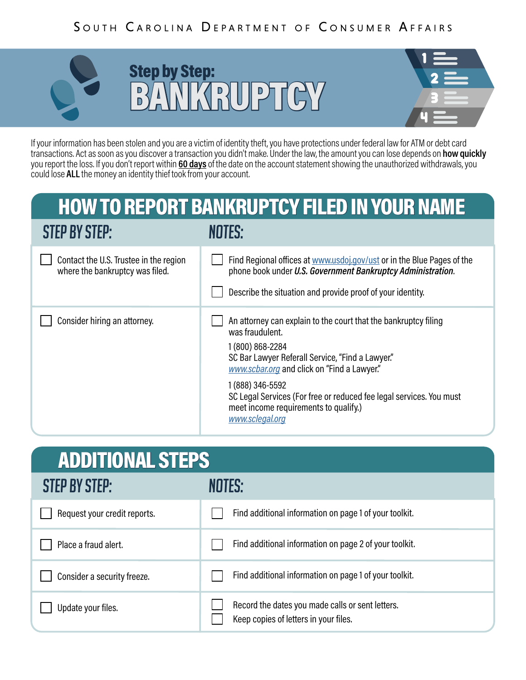## SOUTH CAROLINA DEPARTMENT OF CONSUMER AFFAIRS



## Step by Step: BYANKRUPTCY



If your information has been stolen and you are a victim of identity theft, you have protections under federal law for ATM or debt card transactions. Act as soon as you discover a transaction you didn't make. Under the law, the amount you can lose depends on **how quickly** you report the loss. If you don't report within **60 days** of the date on the account statement showing the unauthorized withdrawals, you could lose **ALL** the money an identity thief took from your account.

## HOW TO REPORT BANKRUPTCY FILED IN YOUR NAME

| <b>STEP BY STEP:</b>                                                      | <b>NOTES:</b>                                                                                                                                                                                                                                                                                                                                                    |
|---------------------------------------------------------------------------|------------------------------------------------------------------------------------------------------------------------------------------------------------------------------------------------------------------------------------------------------------------------------------------------------------------------------------------------------------------|
| Contact the U.S. Trustee in the region<br>where the bankruptcy was filed. | Find Regional offices at www.usdoj.gov/ust or in the Blue Pages of the<br>phone book under U.S. Government Bankruptcy Administration.<br>Describe the situation and provide proof of your identity.                                                                                                                                                              |
| Consider hiring an attorney.                                              | An attorney can explain to the court that the bankruptcy filing<br>was fraudulent.<br>1 (800) 868-2284<br>SC Bar Lawyer Referall Service, "Find a Lawyer."<br>www.scbar.org and click on "Find a Lawyer."<br>1 (888) 346-5592<br>SC Legal Services (For free or reduced fee legal services. You must<br>meet income requirements to qualify.)<br>www.sclegal.org |

| <b>ADDITIONAL STEPS</b>      |                                                                                           |  |
|------------------------------|-------------------------------------------------------------------------------------------|--|
| <b>STEP BY STEP:</b>         | NOTES:                                                                                    |  |
| Request your credit reports. | Find additional information on page 1 of your toolkit.                                    |  |
| Place a fraud alert.         | Find additional information on page 2 of your toolkit.                                    |  |
| Consider a security freeze.  | Find additional information on page 1 of your toolkit.                                    |  |
| Update your files.           | Record the dates you made calls or sent letters.<br>Keep copies of letters in your files. |  |